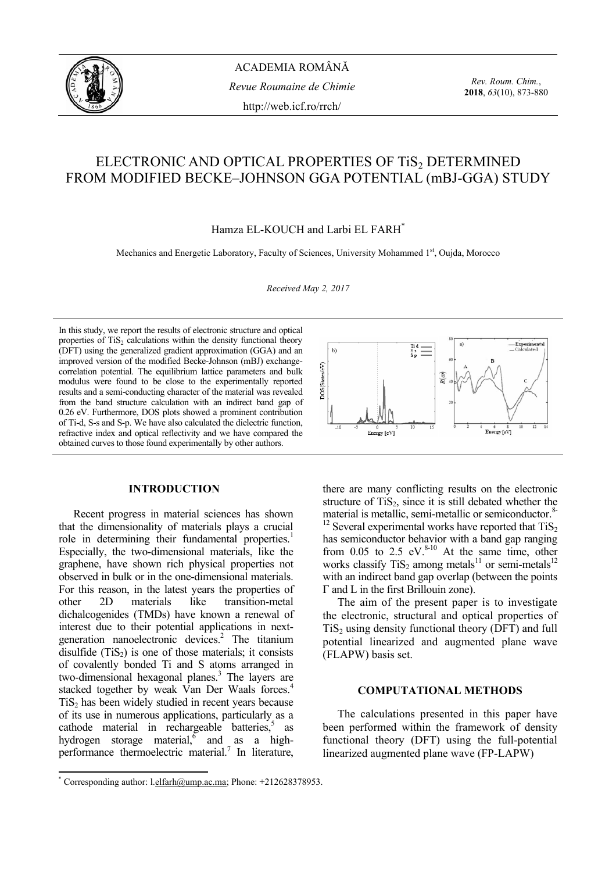

ACADEMIA ROMÂNĂ *Revue Roumaine de Chimie*  http://web.icf.ro/rrch/

*Rev. Roum. Chim.*, **2018**, *63*(10), 873-880

# ELECTRONIC AND OPTICAL PROPERTIES OF TIS2 DETERMINED FROM MODIFIED BECKE–JOHNSON GGA POTENTIAL (mBJ-GGA) STUDY

Hamza EL-KOUCH and Larbi EL FARH\*

Mechanics and Energetic Laboratory, Faculty of Sciences, University Mohammed 1st, Oujda, Morocco

*Received May 2, 2017*

In this study, we report the results of electronic structure and optical properties of  $TiS<sub>2</sub>$  calculations within the density functional theory (DFT) using the generalized gradient approximation (GGA) and an improved version of the modified Becke-Johnson (mBJ) exchangecorrelation potential. The equilibrium lattice parameters and bulk modulus were found to be close to the experimentally reported results and a semi-conducting character of the material was revealed from the band structure calculation with an indirect band gap of 0.26 eV. Furthermore, DOS plots showed a prominent contribution of Ti-d, S-s and S-p. We have also calculated the dielectric function, refractive index and optical reflectivity and we have compared the obtained curves to those found experimentally by other authors.

### **INTRODUCTION\***

Recent progress in material sciences has shown that the dimensionality of materials plays a crucial role in determining their fundamental properties.<sup>1</sup> Especially, the two-dimensional materials, like the graphene, have shown rich physical properties not observed in bulk or in the one-dimensional materials. For this reason, in the latest years the properties of other 2D materials like transition-metal dichalcogenides (TMDs) have known a renewal of interest due to their potential applications in nextgeneration nanoelectronic devices.<sup>2</sup> The titanium disulfide  $(TiS<sub>2</sub>)$  is one of those materials; it consists of covalently bonded Ti and S atoms arranged in two-dimensional hexagonal planes.<sup>3</sup> The layers are stacked together by weak Van Der Waals forces.<sup>4</sup>  $TiS<sub>2</sub>$  has been widely studied in recent years because of its use in numerous applications, particularly as a cathode material in rechargeable batteries, $5$  as hydrogen storage material, and as a highperformance thermoelectric material.<sup>7</sup> In literature,



there are many conflicting results on the electronic structure of  $TiS<sub>2</sub>$ , since it is still debated whether the material is metallic, semi-metallic or semiconductor.<sup>8-</sup>

 $12$  Several experimental works have reported that TiS<sub>2</sub> has semiconductor behavior with a band gap ranging from  $0.05$  to  $2.5$  eV. $8-10$  At the same time, other works classify TiS<sub>2</sub> among metals<sup>11</sup> or semi-metals<sup>12</sup> with an indirect band gap overlap (between the points Γ and L in the first Brillouin zone).

The aim of the present paper is to investigate the electronic, structural and optical properties of  $TiS<sub>2</sub>$  using density functional theory (DFT) and full potential linearized and augmented plane wave (FLAPW) basis set.

# **COMPUTATIONAL METHODS**

The calculations presented in this paper have been performed within the framework of density functional theory (DFT) using the full-potential linearized augmented plane wave (FP-LAPW)

 \* Corresponding author: l.elfarh@ump.ac.ma; Phone: +212628378953.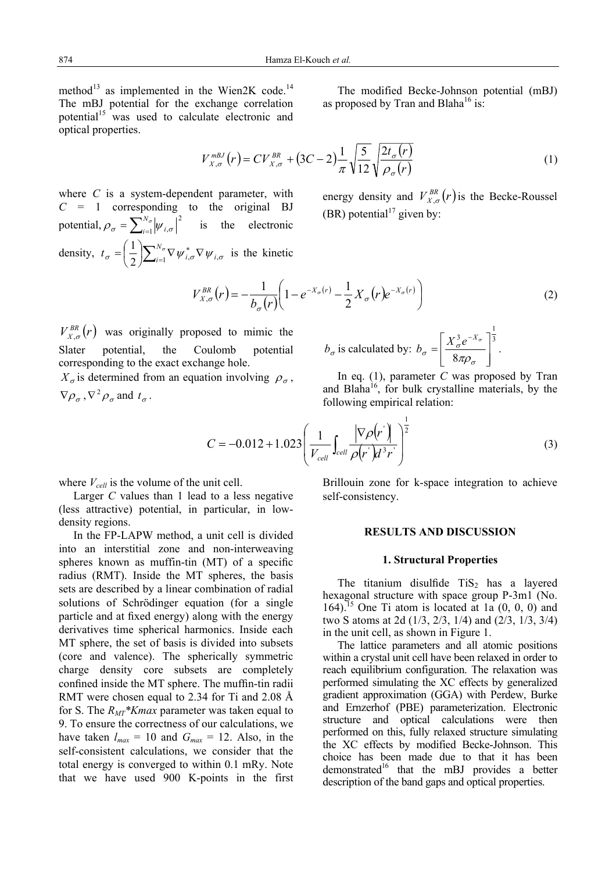method<sup>13</sup> as implemented in the Wien2K code.<sup>14</sup> The mBJ potential for the exchange correlation potential<sup>15</sup> was used to calculate electronic and optical properties.

The modified Becke-Johnson potential (mBJ) as proposed by Tran and Blaha<sup>16</sup> is:

$$
V_{X,\sigma}^{mBJ}(r) = CV_{X,\sigma}^{BR} + (3C - 2)\frac{1}{\pi} \sqrt{\frac{5}{12}} \sqrt{\frac{2t_{\sigma}(r)}{\rho_{\sigma}(r)}}
$$
(1)

where *C* is a system-dependent parameter, with  $C = 1$  corresponding to the original BJ potential,  $\rho_{\sigma} = \sum_{i=1}^{N_{\sigma}} \left| \psi_{i,\sigma} \right|$  $\|i=1}$   $|\Psi i|$  $\left| \sigma \right|^2$  is the electronic density,  $t_{\sigma} = \left(\frac{1}{2}\right) \sum_{i=1}^{N_{\sigma}} \nabla \psi_{i,\sigma}^* \nabla \psi_{i,\sigma}$ 1 *i*  $\boldsymbol{u}_{\sigma} = \left(\frac{1}{2}\right) \sum_{i=1}^{N_{\sigma}} \nabla \boldsymbol{\psi}_{i,\sigma}^{*} \nabla$  $=\left(\frac{1}{2}\right)\sum_{i=1}^{N_{\sigma}}\nabla\psi_{i,\sigma}^*\nabla\psi_{i,\sigma}$  is the kinetic

energy density and  $V_{X,\sigma}^{BR}(r)$  is the Becke-Roussel (BR) potential<sup>17</sup> given by:

$$
V_{X,\sigma}^{BR}(r) = -\frac{1}{b_{\sigma}(r)} \left( 1 - e^{-X_{\sigma}(r)} - \frac{1}{2} X_{\sigma}(r) e^{-X_{\sigma}(r)} \right)
$$
 (2)

 $V_{X,\sigma}^{BR}(r)$  was originally proposed to mimic the Slater potential, the Coulomb potential corresponding to the exact exchange hole.

 $X_{\sigma}$  is determined from an equation involving  $\rho_{\sigma}$ ,  $\nabla \rho_{\sigma}$ ,  $\nabla^2 \rho_{\sigma}$  and  $t_{\sigma}$ .

$$
b_{\sigma}
$$
 is calculated by:  $b_{\sigma} = \left[\frac{X_{\sigma}^3 e^{-X_{\sigma}}}{8\pi\rho_{\sigma}}\right]^{\frac{1}{3}}$ .

In eq. (1), parameter *C* was proposed by Tran and Blaha<sup>16</sup>, for bulk crystalline materials, by the following empirical relation:

$$
C = -0.012 + 1.023 \left( \frac{1}{V_{cell}} \int_{cell} \frac{|\nabla \rho(r)|}{\rho(r) d^3 r} \right)^{\frac{1}{2}}
$$
(3)

where  $V_{cell}$  is the volume of the unit cell.

Larger *C* values than 1 lead to a less negative (less attractive) potential, in particular, in lowdensity regions.

In the FP-LAPW method, a unit cell is divided into an interstitial zone and non-interweaving spheres known as muffin-tin (MT) of a specific radius (RMT). Inside the MT spheres, the basis sets are described by a linear combination of radial solutions of Schrödinger equation (for a single particle and at fixed energy) along with the energy derivatives time spherical harmonics. Inside each MT sphere, the set of basis is divided into subsets (core and valence). The spherically symmetric charge density core subsets are completely confined inside the MT sphere. The muffin-tin radii RMT were chosen equal to 2.34 for Ti and 2.08 Å for S. The *RMT\*Kmax* parameter was taken equal to 9. To ensure the correctness of our calculations, we have taken  $l_{max} = 10$  and  $G_{max} = 12$ . Also, in the self-consistent calculations, we consider that the total energy is converged to within 0.1 mRy. Note that we have used 900 K-points in the first Brillouin zone for k-space integration to achieve self-consistency.

# **RESULTS AND DISCUSSION**

#### **1. Structural Properties**

The titanium disulfide  $TiS<sub>2</sub>$  has a layered hexagonal structure with space group P-3m1 (No. 164).<sup>15</sup> One Ti atom is located at 1a  $(0, 0, 0)$  and two S atoms at 2d (1/3, 2/3, 1/4) and (2/3, 1/3, 3/4) in the unit cell, as shown in Figure 1.

The lattice parameters and all atomic positions within a crystal unit cell have been relaxed in order to reach equilibrium configuration. The relaxation was performed simulating the XC effects by generalized gradient approximation (GGA) with Perdew, Burke and Ernzerhof (PBE) parameterization. Electronic structure and optical calculations were then performed on this, fully relaxed structure simulating the XC effects by modified Becke-Johnson. This choice has been made due to that it has been demonstrated $16$  that the mBJ provides a better description of the band gaps and optical properties.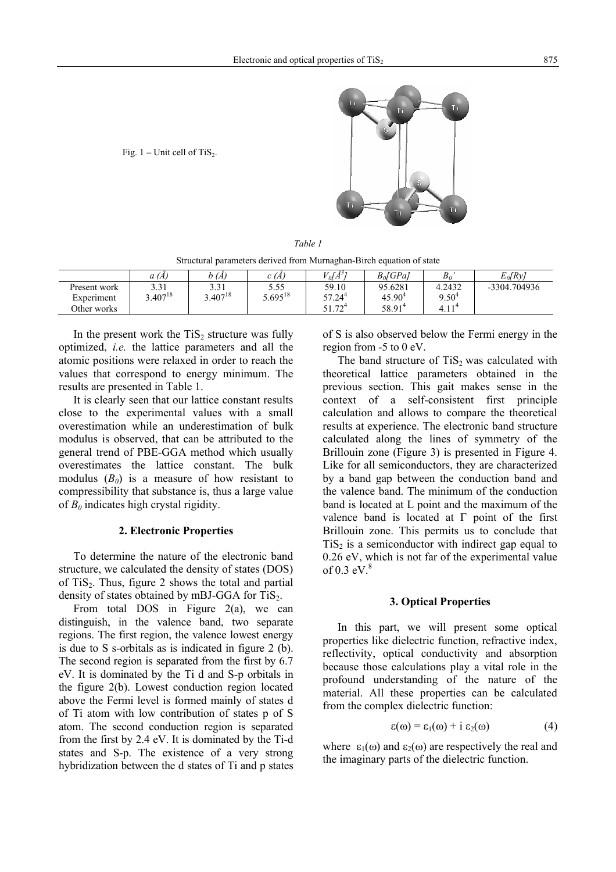Fig.  $1$  – Unit cell of TiS<sub>2</sub>.



*Table 1* 

Structural parameters derived from Murnaghan-Birch equation of state

|              | a(A)         | b (A)        | C (A,        | $ol(\AA^3)$            | $B_0[GPa]$         | $B_0$                      | $E_0[Ry]$    |
|--------------|--------------|--------------|--------------|------------------------|--------------------|----------------------------|--------------|
| Present work | 2.31<br>، س  | 3.31         | 5.55         | 59.10                  | 95.6281            | 4.2432                     | -3304.704936 |
| Experiment   | $3.407^{18}$ | $5.407^{18}$ | $5.695^{18}$ | 57.24 <sup>4</sup>     | $45.90^4$          | $9.50^{4}$                 |              |
| Other works  |              |              |              | $\neg \neg$<br>ے ہیں ک | 58.91 <sup>4</sup> | 11 <sup>4</sup><br>$-4.11$ |              |

In the present work the  $TiS<sub>2</sub>$  structure was fully optimized, *i.e.* the lattice parameters and all the atomic positions were relaxed in order to reach the values that correspond to energy minimum. The results are presented in Table 1.

It is clearly seen that our lattice constant results close to the experimental values with a small overestimation while an underestimation of bulk modulus is observed, that can be attributed to the general trend of PBE-GGA method which usually overestimates the lattice constant. The bulk modulus  $(B_0)$  is a measure of how resistant to compressibility that substance is, thus a large value of  $B_0$  indicates high crystal rigidity.

# **2. Electronic Properties**

To determine the nature of the electronic band structure, we calculated the density of states (DOS) of  $TiS<sub>2</sub>$ . Thus, figure 2 shows the total and partial density of states obtained by mBJ-GGA for  $TiS<sub>2</sub>$ .

From total DOS in Figure  $2(a)$ , we can distinguish, in the valence band, two separate regions. The first region, the valence lowest energy is due to S s-orbitals as is indicated in figure 2 (b). The second region is separated from the first by 6.7 eV. It is dominated by the Ti d and S-p orbitals in the figure 2(b). Lowest conduction region located above the Fermi level is formed mainly of states d of Ti atom with low contribution of states p of S atom. The second conduction region is separated from the first by 2.4 eV. It is dominated by the Ti-d states and S-p. The existence of a very strong hybridization between the d states of Ti and p states of S is also observed below the Fermi energy in the region from -5 to 0 eV.

The band structure of  $TiS<sub>2</sub>$  was calculated with theoretical lattice parameters obtained in the previous section. This gait makes sense in the context of a self-consistent first principle calculation and allows to compare the theoretical results at experience. The electronic band structure calculated along the lines of symmetry of the Brillouin zone (Figure 3) is presented in Figure 4. Like for all semiconductors, they are characterized by a band gap between the conduction band and the valence band. The minimum of the conduction band is located at L point and the maximum of the valence band is located at Γ point of the first Brillouin zone. This permits us to conclude that  $TiS<sub>2</sub>$  is a semiconductor with indirect gap equal to 0.26 eV, which is not far of the experimental value of  $0.3$  eV. $8$ 

#### **3. Optical Properties**

In this part, we will present some optical properties like dielectric function, refractive index, reflectivity, optical conductivity and absorption because those calculations play a vital role in the profound understanding of the nature of the material. All these properties can be calculated from the complex dielectric function:

$$
\varepsilon(\omega) = \varepsilon_1(\omega) + i \varepsilon_2(\omega) \tag{4}
$$

where  $\varepsilon_1(\omega)$  and  $\varepsilon_2(\omega)$  are respectively the real and the imaginary parts of the dielectric function.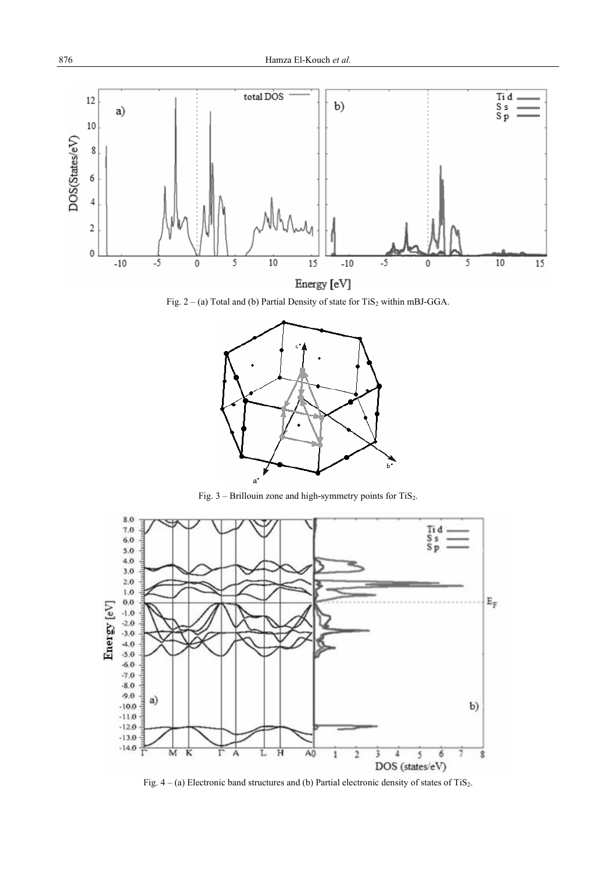

Fig.  $2 - (a)$  Total and (b) Partial Density of state for TiS<sub>2</sub> within mBJ-GGA.



Fig.  $3$  – Brillouin zone and high-symmetry points for TiS<sub>2</sub>.



Fig.  $4 - (a)$  Electronic band structures and (b) Partial electronic density of states of TiS<sub>2</sub>.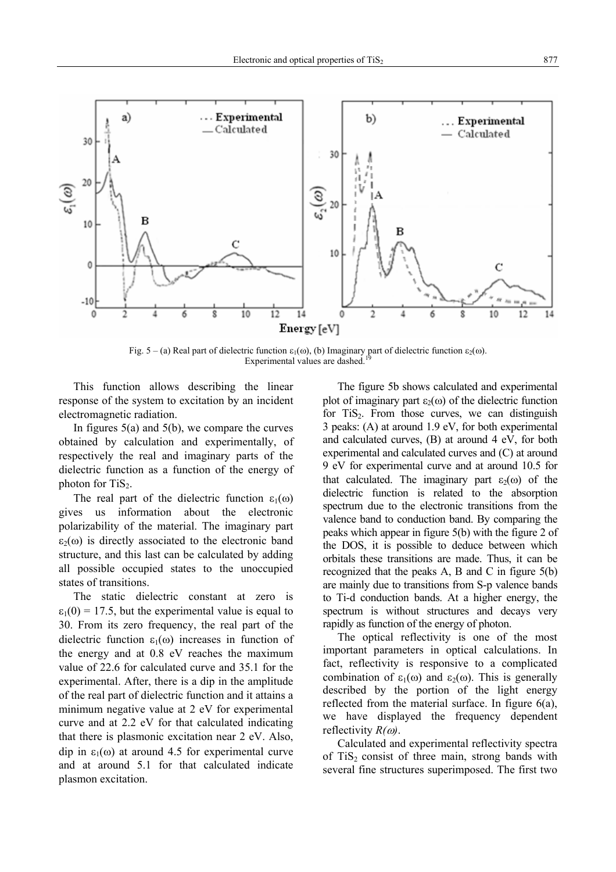

Fig. 5 – (a) Real part of dielectric function  $\varepsilon_1(\omega)$ , (b) Imaginary part of dielectric function  $\varepsilon_2(\omega)$ . Experimental values are dashed.

This function allows describing the linear response of the system to excitation by an incident electromagnetic radiation.

In figures  $5(a)$  and  $5(b)$ , we compare the curves obtained by calculation and experimentally, of respectively the real and imaginary parts of the dielectric function as a function of the energy of photon for  $TiS<sub>2</sub>$ .

The real part of the dielectric function  $\varepsilon_1(\omega)$ gives us information about the electronic polarizability of the material. The imaginary part  $\varepsilon_2(\omega)$  is directly associated to the electronic band structure, and this last can be calculated by adding all possible occupied states to the unoccupied states of transitions.

The static dielectric constant at zero is  $\varepsilon_1(0) = 17.5$ , but the experimental value is equal to 30. From its zero frequency, the real part of the dielectric function  $\varepsilon_1(\omega)$  increases in function of the energy and at 0.8 eV reaches the maximum value of 22.6 for calculated curve and 35.1 for the experimental. After, there is a dip in the amplitude of the real part of dielectric function and it attains a minimum negative value at 2 eV for experimental curve and at 2.2 eV for that calculated indicating that there is plasmonic excitation near 2 eV. Also, dip in  $\varepsilon_1(\omega)$  at around 4.5 for experimental curve and at around 5.1 for that calculated indicate plasmon excitation.

The figure 5b shows calculated and experimental plot of imaginary part  $\varepsilon_2(\omega)$  of the dielectric function for TiS<sub>2</sub>. From those curves, we can distinguish 3 peaks: (A) at around 1.9 eV, for both experimental and calculated curves, (B) at around 4 eV, for both experimental and calculated curves and (C) at around 9 eV for experimental curve and at around 10.5 for that calculated. The imaginary part  $\varepsilon_2(\omega)$  of the dielectric function is related to the absorption spectrum due to the electronic transitions from the valence band to conduction band. By comparing the peaks which appear in figure 5(b) with the figure 2 of the DOS, it is possible to deduce between which orbitals these transitions are made. Thus, it can be recognized that the peaks A, B and C in figure 5(b) are mainly due to transitions from S-p valence bands to Ti-d conduction bands. At a higher energy, the spectrum is without structures and decays very rapidly as function of the energy of photon.

The optical reflectivity is one of the most important parameters in optical calculations. In fact, reflectivity is responsive to a complicated combination of  $\varepsilon_1(\omega)$  and  $\varepsilon_2(\omega)$ . This is generally described by the portion of the light energy reflected from the material surface. In figure 6(a), we have displayed the frequency dependent reflectivity *R(*ω*)*.

Calculated and experimental reflectivity spectra of  $TiS<sub>2</sub>$  consist of three main, strong bands with several fine structures superimposed. The first two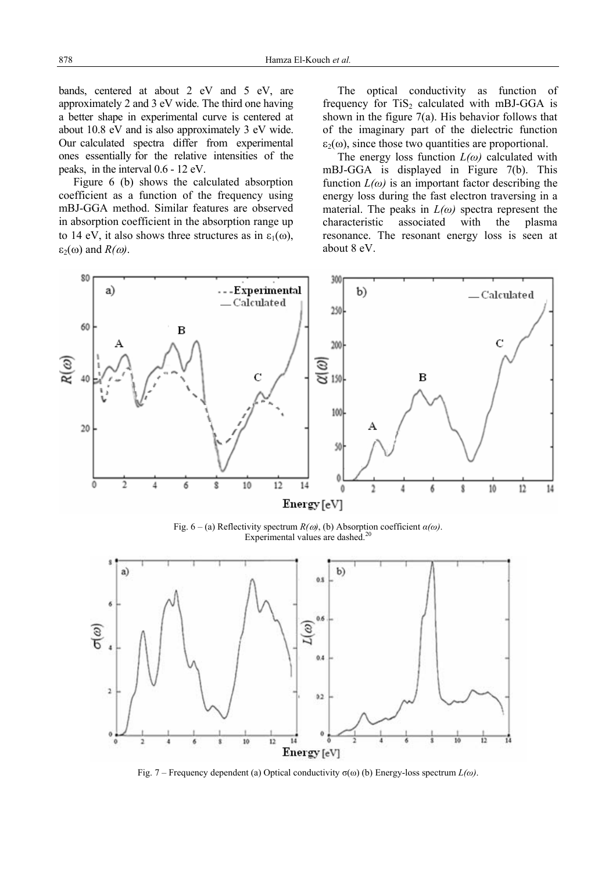bands, centered at about 2 eV and 5 eV, are approximately 2 and 3 eV wide. The third one having a better shape in experimental curve is centered at about 10.8 eV and is also approximately 3 eV wide. Our calculated spectra differ from experimental ones essentially for the relative intensities of the peaks, in the interval 0.6 - 12 eV.

Figure 6 (b) shows the calculated absorption coefficient as a function of the frequency using mBJ-GGA method. Similar features are observed in absorption coefficient in the absorption range up to 14 eV, it also shows three structures as in  $\varepsilon_1(\omega)$ , ε<sub>2</sub>(ω) and  $R(\omega)$ .

The optical conductivity as function of frequency for  $TiS<sub>2</sub>$  calculated with mBJ-GGA is shown in the figure  $7(a)$ . His behavior follows that of the imaginary part of the dielectric function  $\varepsilon_2(\omega)$ , since those two quantities are proportional.

The energy loss function *L(ω)* calculated with mBJ-GGA is displayed in Figure 7(b). This function  $L(\omega)$  is an important factor describing the energy loss during the fast electron traversing in a material. The peaks in  $L(\omega)$  spectra represent the characteristic associated with the plasma resonance. The resonant energy loss is seen at about 8 eV.



Fig.  $6 - (a)$  Reflectivity spectrum  $R(\omega)$ , (b) Absorption coefficient  $\alpha(\omega)$ . Experimental values are dashed.<sup>20</sup>



Fig. 7 – Frequency dependent (a) Optical conductivity σ(ω) (b) Energy-loss spectrum *L(ω)*.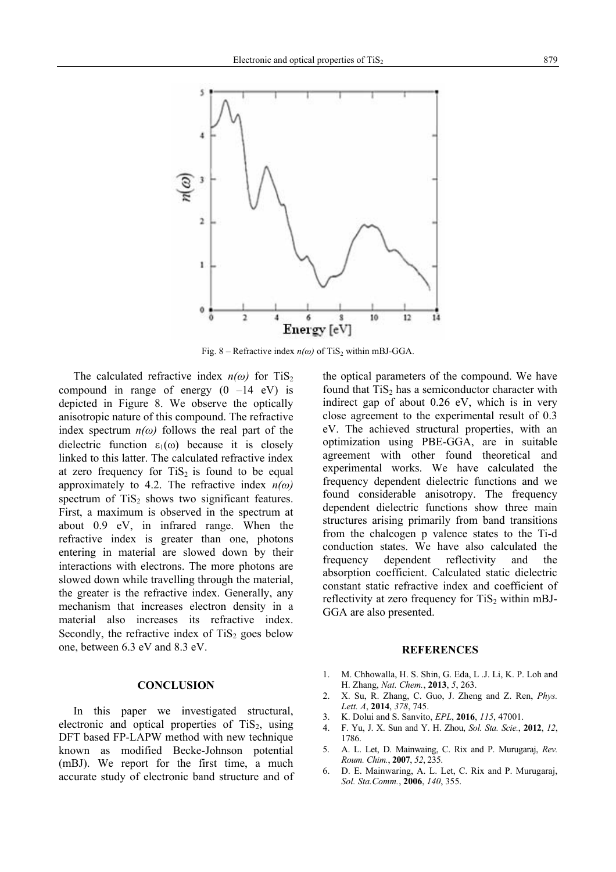

Fig. 8 – Refractive index  $n(\omega)$  of TiS<sub>2</sub> within mBJ-GGA.

The calculated refractive index  $n(\omega)$  for TiS<sub>2</sub> compound in range of energy  $(0 -14 eV)$  is depicted in Figure 8. We observe the optically anisotropic nature of this compound. The refractive index spectrum  $n(\omega)$  follows the real part of the dielectric function  $\varepsilon_1(\omega)$  because it is closely linked to this latter. The calculated refractive index at zero frequency for  $TiS<sub>2</sub>$  is found to be equal approximately to 4.2. The refractive index *n(ω)* spectrum of  $TiS<sub>2</sub>$  shows two significant features. First, a maximum is observed in the spectrum at about 0.9 eV, in infrared range. When the refractive index is greater than one, photons entering in material are slowed down by their interactions with electrons. The more photons are slowed down while travelling through the material, the greater is the refractive index. Generally, any mechanism that increases electron density in a material also increases its refractive index. Secondly, the refractive index of  $TiS<sub>2</sub>$  goes below one, between 6.3 eV and 8.3 eV.

# **CONCLUSION**

In this paper we investigated structural, electronic and optical properties of  $TiS<sub>2</sub>$ , using DFT based FP-LAPW method with new technique known as modified Becke-Johnson potential (mBJ). We report for the first time, a much accurate study of electronic band structure and of the optical parameters of the compound. We have found that  $TiS<sub>2</sub>$  has a semiconductor character with indirect gap of about 0.26 eV, which is in very close agreement to the experimental result of 0.3 eV. The achieved structural properties, with an optimization using PBE-GGA, are in suitable agreement with other found theoretical and experimental works. We have calculated the frequency dependent dielectric functions and we found considerable anisotropy. The frequency dependent dielectric functions show three main structures arising primarily from band transitions from the chalcogen p valence states to the Ti-d conduction states. We have also calculated the frequency dependent reflectivity and the absorption coefficient. Calculated static dielectric constant static refractive index and coefficient of reflectivity at zero frequency for  $TiS<sub>2</sub>$  within mBJ-GGA are also presented.

#### **REFERENCES**

- 1. M. Chhowalla, H. S. Shin, G. Eda, L .J. Li, K. P. Loh and H. Zhang, *Nat. Chem.*, **2013**, *5*, 263.
- 2. X. Su, R. Zhang, C. Guo, J. Zheng and Z. Ren, *Phys. Lett. A*, **2014**, *378*, 745.
- 3. K. Dolui and S. Sanvito, *EPL*, **2016**, *115*, 47001.
- 4. F. Yu, J. X. Sun and Y. H. Zhou, *Sol. Sta. Scie.*, **2012**, *12*, 1786.
- 5. A. L. Let, D. Mainwaing, C. Rix and P. Murugaraj, *Rev. Roum. Chim.*, **2007**, *52*, 235.
- 6. D. E. Mainwaring, A. L. Let, C. Rix and P. Murugaraj, *Sol. Sta.Comm.*, **2006**, *140*, 355.